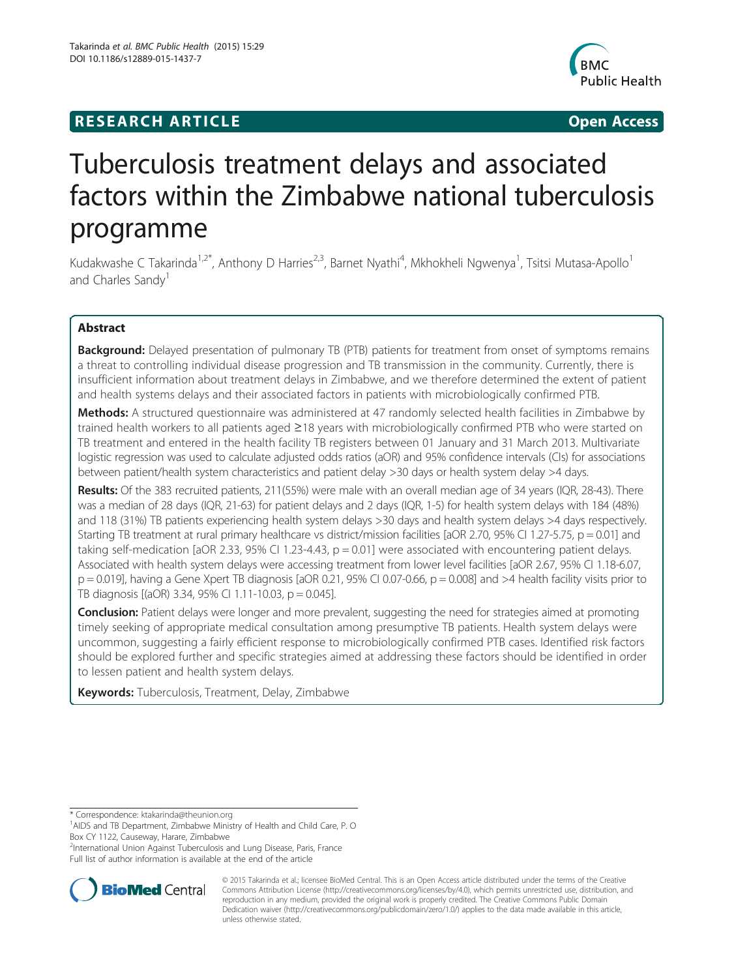# **RESEARCH ARTICLE CONSUMING A RESEARCH ARTICLE**



# Tuberculosis treatment delays and associated factors within the Zimbabwe national tuberculosis programme

Kudakwashe C Takarinda<sup>1,2\*</sup>, Anthony D Harries<sup>2,3</sup>, Barnet Nyathi<sup>4</sup>, Mkhokheli Ngwenya<sup>1</sup>, Tsitsi Mutasa-Apollo<sup>1</sup> and Charles Sandy<sup>1</sup>

# Abstract

**Background:** Delayed presentation of pulmonary TB (PTB) patients for treatment from onset of symptoms remains a threat to controlling individual disease progression and TB transmission in the community. Currently, there is insufficient information about treatment delays in Zimbabwe, and we therefore determined the extent of patient and health systems delays and their associated factors in patients with microbiologically confirmed PTB.

Methods: A structured questionnaire was administered at 47 randomly selected health facilities in Zimbabwe by trained health workers to all patients aged ≥18 years with microbiologically confirmed PTB who were started on TB treatment and entered in the health facility TB registers between 01 January and 31 March 2013. Multivariate logistic regression was used to calculate adjusted odds ratios (aOR) and 95% confidence intervals (CIs) for associations between patient/health system characteristics and patient delay >30 days or health system delay >4 days.

Results: Of the 383 recruited patients, 211(55%) were male with an overall median age of 34 years (IQR, 28-43). There was a median of 28 days (IQR, 21-63) for patient delays and 2 days (IQR, 1-5) for health system delays with 184 (48%) and 118 (31%) TB patients experiencing health system delays >30 days and health system delays >4 days respectively. Starting TB treatment at rural primary healthcare vs district/mission facilities [aOR 2.70, 95% CI 1.27-5.75, p = 0.01] and taking self-medication [aOR 2.33, 95% CI 1.23-4.43,  $p = 0.01$ ] were associated with encountering patient delays. Associated with health system delays were accessing treatment from lower level facilities [aOR 2.67, 95% CI 1.18-6.07,  $p = 0.019$ , having a Gene Xpert TB diagnosis [aOR 0.21, 95% CI 0.07-0.66,  $p = 0.008$ ] and >4 health facility visits prior to TB diagnosis [(aOR) 3.34, 95% CI 1.11-10.03, p = 0.045].

**Conclusion:** Patient delays were longer and more prevalent, suggesting the need for strategies aimed at promoting timely seeking of appropriate medical consultation among presumptive TB patients. Health system delays were uncommon, suggesting a fairly efficient response to microbiologically confirmed PTB cases. Identified risk factors should be explored further and specific strategies aimed at addressing these factors should be identified in order to lessen patient and health system delays.

Keywords: Tuberculosis, Treatment, Delay, Zimbabwe

\* Correspondence: [ktakarinda@theunion.org](mailto:ktakarinda@theunion.org) <sup>1</sup>

2 International Union Against Tuberculosis and Lung Disease, Paris, France Full list of author information is available at the end of the article



© 2015 Takarinda et al.; licensee BioMed Central. This is an Open Access article distributed under the terms of the Creative Commons Attribution License [\(http://creativecommons.org/licenses/by/4.0\)](http://creativecommons.org/licenses/by/4.0), which permits unrestricted use, distribution, and reproduction in any medium, provided the original work is properly credited. The Creative Commons Public Domain Dedication waiver [\(http://creativecommons.org/publicdomain/zero/1.0/](http://creativecommons.org/publicdomain/zero/1.0/)) applies to the data made available in this article, unless otherwise stated.

<sup>&</sup>lt;sup>1</sup>AIDS and TB Department, Zimbabwe Ministry of Health and Child Care, P. O Box CY 1122, Causeway, Harare, Zimbabwe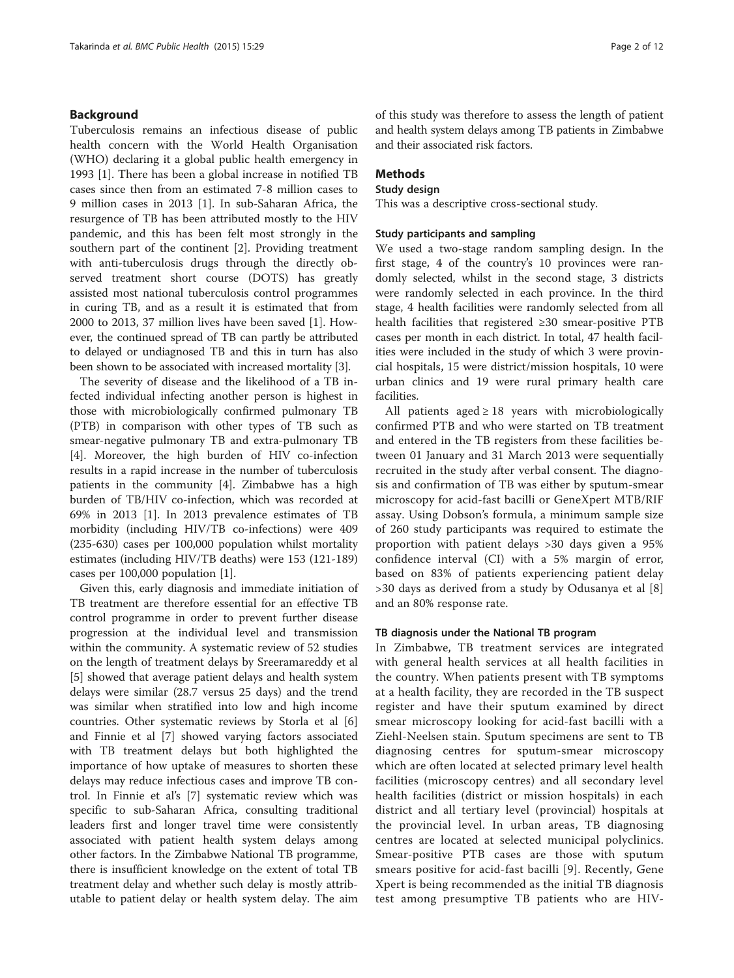# Background

Tuberculosis remains an infectious disease of public health concern with the World Health Organisation (WHO) declaring it a global public health emergency in 1993 [\[1](#page-10-0)]. There has been a global increase in notified TB cases since then from an estimated 7-8 million cases to 9 million cases in 2013 [[1\]](#page-10-0). In sub-Saharan Africa, the resurgence of TB has been attributed mostly to the HIV pandemic, and this has been felt most strongly in the southern part of the continent [[2\]](#page-10-0). Providing treatment with anti-tuberculosis drugs through the directly observed treatment short course (DOTS) has greatly assisted most national tuberculosis control programmes in curing TB, and as a result it is estimated that from 2000 to 2013, 37 million lives have been saved [\[1\]](#page-10-0). However, the continued spread of TB can partly be attributed to delayed or undiagnosed TB and this in turn has also been shown to be associated with increased mortality [[3\]](#page-10-0).

The severity of disease and the likelihood of a TB infected individual infecting another person is highest in those with microbiologically confirmed pulmonary TB (PTB) in comparison with other types of TB such as smear-negative pulmonary TB and extra-pulmonary TB [[4\]](#page-10-0). Moreover, the high burden of HIV co-infection results in a rapid increase in the number of tuberculosis patients in the community [[4\]](#page-10-0). Zimbabwe has a high burden of TB/HIV co-infection, which was recorded at 69% in 2013 [[1](#page-10-0)]. In 2013 prevalence estimates of TB morbidity (including HIV/TB co-infections) were 409 (235-630) cases per 100,000 population whilst mortality estimates (including HIV/TB deaths) were 153 (121-189) cases per 100,000 population [\[1](#page-10-0)].

Given this, early diagnosis and immediate initiation of TB treatment are therefore essential for an effective TB control programme in order to prevent further disease progression at the individual level and transmission within the community. A systematic review of 52 studies on the length of treatment delays by Sreeramareddy et al [[5\]](#page-10-0) showed that average patient delays and health system delays were similar (28.7 versus 25 days) and the trend was similar when stratified into low and high income countries. Other systematic reviews by Storla et al [\[6](#page-10-0)] and Finnie et al [\[7\]](#page-10-0) showed varying factors associated with TB treatment delays but both highlighted the importance of how uptake of measures to shorten these delays may reduce infectious cases and improve TB control. In Finnie et al's [[7\]](#page-10-0) systematic review which was specific to sub-Saharan Africa, consulting traditional leaders first and longer travel time were consistently associated with patient health system delays among other factors. In the Zimbabwe National TB programme, there is insufficient knowledge on the extent of total TB treatment delay and whether such delay is mostly attributable to patient delay or health system delay. The aim of this study was therefore to assess the length of patient and health system delays among TB patients in Zimbabwe and their associated risk factors.

# **Methods**

# Study design

This was a descriptive cross-sectional study.

#### Study participants and sampling

We used a two-stage random sampling design. In the first stage, 4 of the country's 10 provinces were randomly selected, whilst in the second stage, 3 districts were randomly selected in each province. In the third stage, 4 health facilities were randomly selected from all health facilities that registered ≥30 smear-positive PTB cases per month in each district. In total, 47 health facilities were included in the study of which 3 were provincial hospitals, 15 were district/mission hospitals, 10 were urban clinics and 19 were rural primary health care facilities.

All patients aged  $\geq 18$  years with microbiologically confirmed PTB and who were started on TB treatment and entered in the TB registers from these facilities between 01 January and 31 March 2013 were sequentially recruited in the study after verbal consent. The diagnosis and confirmation of TB was either by sputum-smear microscopy for acid-fast bacilli or GeneXpert MTB/RIF assay. Using Dobson's formula, a minimum sample size of 260 study participants was required to estimate the proportion with patient delays >30 days given a 95% confidence interval (CI) with a 5% margin of error, based on 83% of patients experiencing patient delay >30 days as derived from a study by Odusanya et al [\[8](#page-10-0)] and an 80% response rate.

#### TB diagnosis under the National TB program

In Zimbabwe, TB treatment services are integrated with general health services at all health facilities in the country. When patients present with TB symptoms at a health facility, they are recorded in the TB suspect register and have their sputum examined by direct smear microscopy looking for acid-fast bacilli with a Ziehl-Neelsen stain. Sputum specimens are sent to TB diagnosing centres for sputum-smear microscopy which are often located at selected primary level health facilities (microscopy centres) and all secondary level health facilities (district or mission hospitals) in each district and all tertiary level (provincial) hospitals at the provincial level. In urban areas, TB diagnosing centres are located at selected municipal polyclinics. Smear-positive PTB cases are those with sputum smears positive for acid-fast bacilli [\[9\]](#page-10-0). Recently, Gene Xpert is being recommended as the initial TB diagnosis test among presumptive TB patients who are HIV-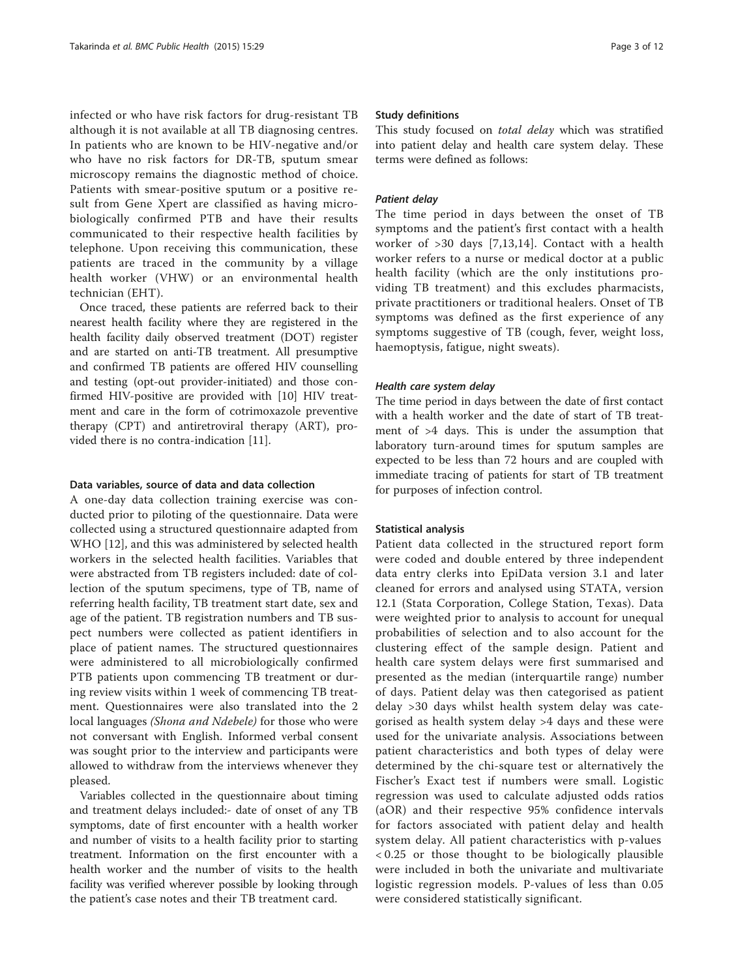infected or who have risk factors for drug-resistant TB although it is not available at all TB diagnosing centres. In patients who are known to be HIV-negative and/or who have no risk factors for DR-TB, sputum smear microscopy remains the diagnostic method of choice. Patients with smear-positive sputum or a positive result from Gene Xpert are classified as having microbiologically confirmed PTB and have their results communicated to their respective health facilities by telephone. Upon receiving this communication, these patients are traced in the community by a village health worker (VHW) or an environmental health technician (EHT).

Once traced, these patients are referred back to their nearest health facility where they are registered in the health facility daily observed treatment (DOT) register and are started on anti-TB treatment. All presumptive and confirmed TB patients are offered HIV counselling and testing (opt-out provider-initiated) and those confirmed HIV-positive are provided with [\[10](#page-10-0)] HIV treatment and care in the form of cotrimoxazole preventive therapy (CPT) and antiretroviral therapy (ART), provided there is no contra-indication [[11\]](#page-10-0).

#### Data variables, source of data and data collection

A one-day data collection training exercise was conducted prior to piloting of the questionnaire. Data were collected using a structured questionnaire adapted from WHO [[12](#page-10-0)], and this was administered by selected health workers in the selected health facilities. Variables that were abstracted from TB registers included: date of collection of the sputum specimens, type of TB, name of referring health facility, TB treatment start date, sex and age of the patient. TB registration numbers and TB suspect numbers were collected as patient identifiers in place of patient names. The structured questionnaires were administered to all microbiologically confirmed PTB patients upon commencing TB treatment or during review visits within 1 week of commencing TB treatment. Questionnaires were also translated into the 2 local languages (Shona and Ndebele) for those who were not conversant with English. Informed verbal consent was sought prior to the interview and participants were allowed to withdraw from the interviews whenever they pleased.

Variables collected in the questionnaire about timing and treatment delays included:- date of onset of any TB symptoms, date of first encounter with a health worker and number of visits to a health facility prior to starting treatment. Information on the first encounter with a health worker and the number of visits to the health facility was verified wherever possible by looking through the patient's case notes and their TB treatment card.

#### Study definitions

This study focused on total delay which was stratified into patient delay and health care system delay. These terms were defined as follows:

## Patient delay

The time period in days between the onset of TB symptoms and the patient's first contact with a health worker of >30 days [[7](#page-10-0),[13,14](#page-10-0)]. Contact with a health worker refers to a nurse or medical doctor at a public health facility (which are the only institutions providing TB treatment) and this excludes pharmacists, private practitioners or traditional healers. Onset of TB symptoms was defined as the first experience of any symptoms suggestive of TB (cough, fever, weight loss, haemoptysis, fatigue, night sweats).

#### Health care system delay

The time period in days between the date of first contact with a health worker and the date of start of TB treatment of >4 days. This is under the assumption that laboratory turn-around times for sputum samples are expected to be less than 72 hours and are coupled with immediate tracing of patients for start of TB treatment for purposes of infection control.

#### Statistical analysis

Patient data collected in the structured report form were coded and double entered by three independent data entry clerks into EpiData version 3.1 and later cleaned for errors and analysed using STATA, version 12.1 (Stata Corporation, College Station, Texas). Data were weighted prior to analysis to account for unequal probabilities of selection and to also account for the clustering effect of the sample design. Patient and health care system delays were first summarised and presented as the median (interquartile range) number of days. Patient delay was then categorised as patient delay >30 days whilst health system delay was categorised as health system delay >4 days and these were used for the univariate analysis. Associations between patient characteristics and both types of delay were determined by the chi-square test or alternatively the Fischer's Exact test if numbers were small. Logistic regression was used to calculate adjusted odds ratios (aOR) and their respective 95% confidence intervals for factors associated with patient delay and health system delay. All patient characteristics with p-values < 0.25 or those thought to be biologically plausible were included in both the univariate and multivariate logistic regression models. P-values of less than 0.05 were considered statistically significant.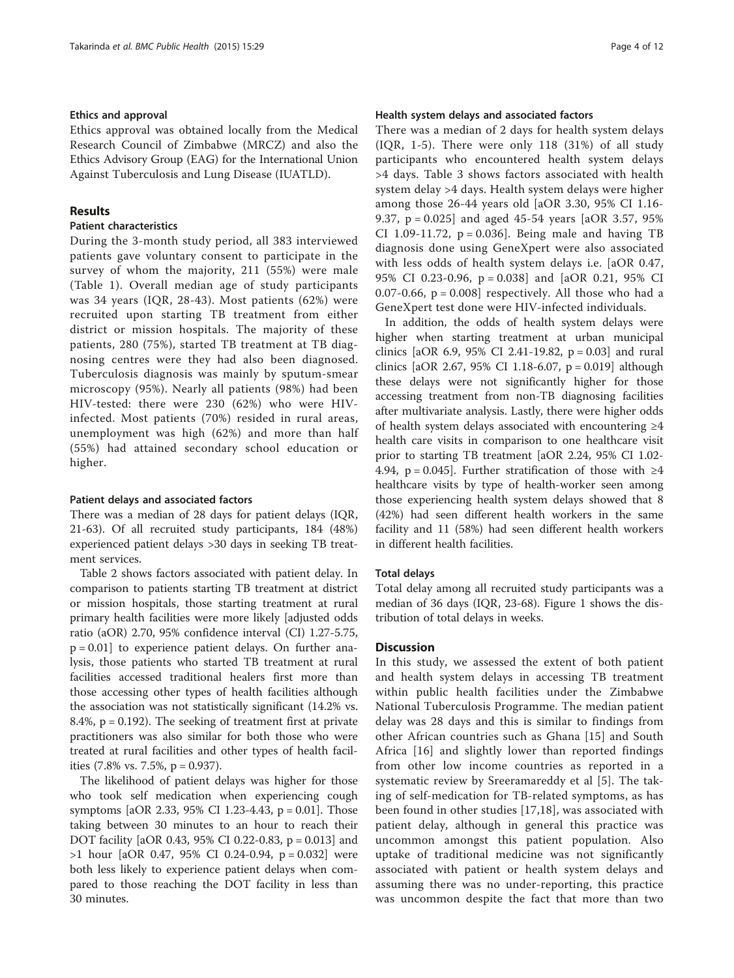#### Ethics and approval

Ethics approval was obtained locally from the Medical Research Council of Zimbabwe (MRCZ) and also the Ethics Advisory Group (EAG) for the International Union Against Tuberculosis and Lung Disease (IUATLD).

## Results

# Patient characteristics

During the 3-month study period, all 383 interviewed patients gave voluntary consent to participate in the survey of whom the majority, 211 (55%) were male (Table [1\)](#page-4-0). Overall median age of study participants was 34 years (IQR, 28-43). Most patients (62%) were recruited upon starting TB treatment from either district or mission hospitals. The majority of these patients, 280 (75%), started TB treatment at TB diagnosing centres were they had also been diagnosed. Tuberculosis diagnosis was mainly by sputum-smear microscopy (95%). Nearly all patients (98%) had been HIV-tested: there were 230 (62%) who were HIVinfected. Most patients (70%) resided in rural areas, unemployment was high (62%) and more than half (55%) had attained secondary school education or higher.

## Patient delays and associated factors

There was a median of 28 days for patient delays (IQR, 21-63). Of all recruited study participants, 184 (48%) experienced patient delays >30 days in seeking TB treatment services.

Table [2](#page-6-0) shows factors associated with patient delay. In comparison to patients starting TB treatment at district or mission hospitals, those starting treatment at rural primary health facilities were more likely [adjusted odds ratio (aOR) 2.70, 95% confidence interval (CI) 1.27-5.75,  $p = 0.01$  to experience patient delays. On further analysis, those patients who started TB treatment at rural facilities accessed traditional healers first more than those accessing other types of health facilities although the association was not statistically significant (14.2% vs. 8.4%,  $p = 0.192$ ). The seeking of treatment first at private practitioners was also similar for both those who were treated at rural facilities and other types of health facilities  $(7.8\% \text{ vs. } 7.5\%, \text{ p} = 0.937).$ 

The likelihood of patient delays was higher for those who took self medication when experiencing cough symptoms [aOR 2.33, 95% CI 1.23-4.43, p = 0.01]. Those taking between 30 minutes to an hour to reach their DOT facility [aOR 0.43, 95% CI 0.22-0.83, p = 0.013] and >1 hour [aOR 0.47, 95% CI 0.24-0.94, p = 0.032] were both less likely to experience patient delays when compared to those reaching the DOT facility in less than 30 minutes.

#### Health system delays and associated factors

There was a median of 2 days for health system delays (IQR, 1-5). There were only 118 (31%) of all study participants who encountered health system delays >4 days. Table [3](#page-8-0) shows factors associated with health system delay >4 days. Health system delays were higher among those 26-44 years old [aOR 3.30, 95% CI 1.16- 9.37, p = 0.025] and aged 45-54 years [aOR 3.57, 95% CI 1.09-11.72,  $p = 0.036$ . Being male and having TB diagnosis done using GeneXpert were also associated with less odds of health system delays i.e. [aOR 0.47, 95% CI 0.23-0.96, p = 0.038] and [aOR 0.21, 95% CI 0.07-0.66,  $p = 0.008$  respectively. All those who had a GeneXpert test done were HIV-infected individuals.

In addition, the odds of health system delays were higher when starting treatment at urban municipal clinics [aOR 6.9, 95% CI 2.41-19.82,  $p = 0.03$ ] and rural clinics [aOR 2.67, 95% CI 1.18-6.07,  $p = 0.019$ ] although these delays were not significantly higher for those accessing treatment from non-TB diagnosing facilities after multivariate analysis. Lastly, there were higher odds of health system delays associated with encountering  $\geq 4$ health care visits in comparison to one healthcare visit prior to starting TB treatment [aOR 2.24, 95% CI 1.02- 4.94, p = 0.045]. Further stratification of those with  $\geq 4$ healthcare visits by type of health-worker seen among those experiencing health system delays showed that 8 (42%) had seen different health workers in the same facility and 11 (58%) had seen different health workers in different health facilities.

# Total delays

Total delay among all recruited study participants was a median of 36 days (IQR, 23-68). Figure [1](#page-9-0) shows the distribution of total delays in weeks.

## Discussion

In this study, we assessed the extent of both patient and health system delays in accessing TB treatment within public health facilities under the Zimbabwe National Tuberculosis Programme. The median patient delay was 28 days and this is similar to findings from other African countries such as Ghana [[15](#page-10-0)] and South Africa [[16\]](#page-10-0) and slightly lower than reported findings from other low income countries as reported in a systematic review by Sreeramareddy et al [[5](#page-10-0)]. The taking of self-medication for TB-related symptoms, as has been found in other studies [[17,18](#page-10-0)], was associated with patient delay, although in general this practice was uncommon amongst this patient population. Also uptake of traditional medicine was not significantly associated with patient or health system delays and assuming there was no under-reporting, this practice was uncommon despite the fact that more than two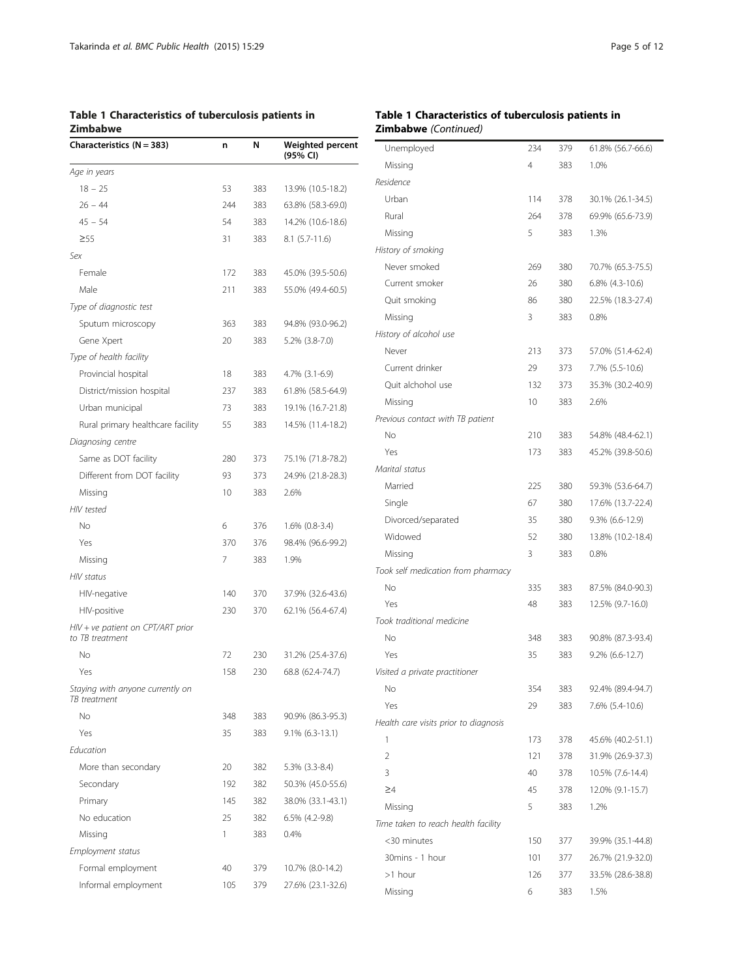<span id="page-4-0"></span>Table 1 Characteristics of tuberculosis patients in Zimbabwe

| Characteristics (N = 383)                            | n   | N   | <b>Weighted percent</b><br>(95% CI) |
|------------------------------------------------------|-----|-----|-------------------------------------|
| Age in years                                         |     |     |                                     |
| $18 - 25$                                            | 53  | 383 | 13.9% (10.5-18.2)                   |
| $26 - 44$                                            | 244 | 383 | 63.8% (58.3-69.0)                   |
| $45 - 54$                                            | 54  | 383 | 14.2% (10.6-18.6)                   |
| $\geq 55$                                            | 31  | 383 | $8.1$ (5.7-11.6)                    |
| Sex                                                  |     |     |                                     |
| Female                                               | 172 | 383 | 45.0% (39.5-50.6)                   |
| Male                                                 | 211 | 383 | 55.0% (49.4-60.5)                   |
| Type of diagnostic test                              |     |     |                                     |
| Sputum microscopy                                    | 363 | 383 | 94.8% (93.0-96.2)                   |
| Gene Xpert                                           | 20  | 383 | 5.2% (3.8-7.0)                      |
| Type of health facility                              |     |     |                                     |
| Provincial hospital                                  | 18  | 383 | 4.7% (3.1-6.9)                      |
| District/mission hospital                            | 237 | 383 | 61.8% (58.5-64.9)                   |
| Urban municipal                                      | 73  | 383 | 19.1% (16.7-21.8)                   |
| Rural primary healthcare facility                    | 55  | 383 | 14.5% (11.4-18.2)                   |
| Diagnosing centre                                    |     |     |                                     |
| Same as DOT facility                                 | 280 | 373 | 75.1% (71.8-78.2)                   |
| Different from DOT facility                          | 93  | 373 | 24.9% (21.8-28.3)                   |
| Missing                                              | 10  | 383 | 2.6%                                |
| HIV tested                                           |     |     |                                     |
| No                                                   | 6   | 376 | 1.6% (0.8-3.4)                      |
| Yes                                                  | 370 | 376 | 98.4% (96.6-99.2)                   |
| Missing                                              | 7   | 383 | 1.9%                                |
| HIV status                                           |     |     |                                     |
| HIV-negative                                         | 140 | 370 | 37.9% (32.6-43.6)                   |
| HIV-positive                                         | 230 | 370 | 62.1% (56.4-67.4)                   |
| HIV + ve patient on CPT/ART prior<br>to TB treatment |     |     |                                     |
| No                                                   | 72  | 230 | 31.2% (25.4-37.6)                   |
| Yes                                                  | 158 | 230 | 68.8 (62.4-74.7)                    |
| Staying with anyone currently on<br>TB treatment     |     |     |                                     |
| No                                                   | 348 | 383 | 90.9% (86.3-95.3)                   |
| Yes                                                  | 35  | 383 | $9.1\%$ (6.3-13.1)                  |
| Education                                            |     |     |                                     |
| More than secondary                                  | 20  | 382 | 5.3% (3.3-8.4)                      |
| Secondary                                            | 192 | 382 | 50.3% (45.0-55.6)                   |
| Primary                                              | 145 | 382 | 38.0% (33.1-43.1)                   |
| No education                                         | 25  | 382 | 6.5% (4.2-9.8)                      |
| Missing                                              | 1   | 383 | 0.4%                                |
| Employment status                                    |     |     |                                     |
| Formal employment                                    | 40  | 379 | 10.7% (8.0-14.2)                    |
| Informal employment                                  | 105 | 379 | 27.6% (23.1-32.6)                   |

# Table 1 Characteristics of tuberculosis patients in Zimbabwe (Continued)

| Unemployed                            | 234 | 379 | 61.8% (56.7-66.6) |
|---------------------------------------|-----|-----|-------------------|
| Missing                               | 4   | 383 | 1.0%              |
| Residence                             |     |     |                   |
| Urban                                 | 114 | 378 | 30.1% (26.1-34.5) |
| Rural                                 | 264 | 378 | 69.9% (65.6-73.9) |
| Missing                               | 5   | 383 | 1.3%              |
| History of smoking                    |     |     |                   |
| Never smoked                          | 269 | 380 | 70.7% (65.3-75.5) |
| Current smoker                        | 26  | 380 | 6.8% (4.3-10.6)   |
| Quit smoking                          | 86  | 380 | 22.5% (18.3-27.4) |
| Missing                               | 3   | 383 | 0.8%              |
| History of alcohol use                |     |     |                   |
| Never                                 | 213 | 373 | 57.0% (51.4-62.4) |
| Current drinker                       | 29  | 373 | 7.7% (5.5-10.6)   |
| Quit alchohol use                     | 132 | 373 | 35.3% (30.2-40.9) |
| Missing                               | 10  | 383 | 2.6%              |
| Previous contact with TB patient      |     |     |                   |
| No                                    | 210 | 383 | 54.8% (48.4-62.1) |
| Yes                                   | 173 | 383 | 45.2% (39.8-50.6) |
| Marital status                        |     |     |                   |
| Married                               | 225 | 380 | 59.3% (53.6-64.7) |
| Single                                | 67  | 380 | 17.6% (13.7-22.4) |
| Divorced/separated                    | 35  | 380 | 9.3% (6.6-12.9)   |
| Widowed                               | 52  | 380 | 13.8% (10.2-18.4) |
| Missing                               | 3   | 383 | 0.8%              |
| Took self medication from pharmacy    |     |     |                   |
| No                                    | 335 | 383 | 87.5% (84.0-90.3) |
| Yes                                   | 48  | 383 | 12.5% (9.7-16.0)  |
| Took traditional medicine             |     |     |                   |
| No                                    | 348 | 383 | 90.8% (87.3-93.4) |
| Yes                                   | 35  | 383 | 9.2% (6.6-12.7)   |
| Visited a private practitioner        |     |     |                   |
| Νo                                    | 354 | 383 | 92.4% (89.4-94.7) |
| Yes                                   | 29  | 383 | 7.6% (5.4-10.6)   |
| Health care visits prior to diagnosis |     |     |                   |
| 1                                     | 173 | 378 | 45.6% (40.2-51.1) |
| 2                                     | 121 | 378 | 31.9% (26.9-37.3) |
| 3                                     | 40  | 378 | 10.5% (7.6-14.4)  |
| $\geq 4$                              | 45  | 378 | 12.0% (9.1-15.7)  |
| Missing                               | 5   | 383 | 1.2%              |
| Time taken to reach health facility   |     |     |                   |
| <30 minutes                           | 150 | 377 | 39.9% (35.1-44.8) |
| 30mins - 1 hour                       | 101 | 377 | 26.7% (21.9-32.0) |
| >1 hour                               | 126 | 377 | 33.5% (28.6-38.8) |
| Missing                               | 6   | 383 | 1.5%              |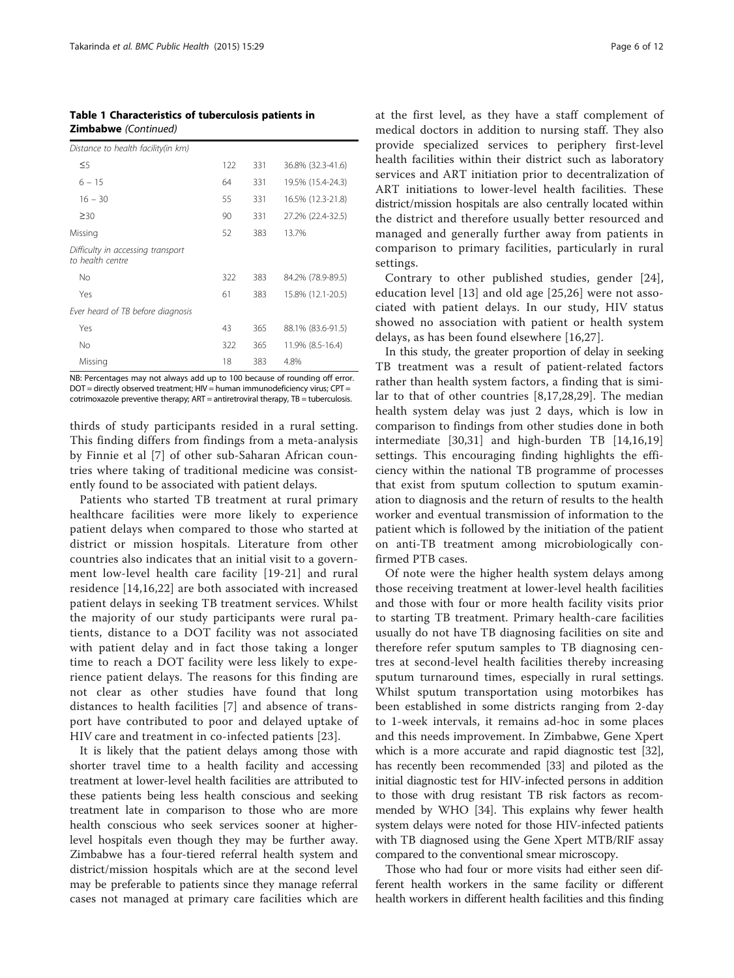Table 1 Characteristics of tuberculosis patients in Zimbabwe (Continued)

| Distance to health facility(in km)                    |     |     |                   |
|-------------------------------------------------------|-----|-----|-------------------|
| $\leq$ 5                                              | 122 | 331 | 36.8% (32.3-41.6) |
| $6 - 15$                                              | 64  | 331 | 19.5% (15.4-24.3) |
| $16 - 30$                                             | 55  | 331 | 16.5% (12.3-21.8) |
| $\geq 30$                                             | 90  | 331 | 27.2% (22.4-32.5) |
| Missing                                               | 52  | 383 | 13.7%             |
| Difficulty in accessing transport<br>to health centre |     |     |                   |
| No                                                    | 322 | 383 | 84.2% (78.9-89.5) |
| Yes                                                   | 61  | 383 | 15.8% (12.1-20.5) |
| Ever heard of TB before diagnosis                     |     |     |                   |
| Yes                                                   | 43  | 365 | 88.1% (83.6-91.5) |
| No                                                    | 322 | 365 | 11.9% (8.5-16.4)  |
| Missing                                               | 18  | 383 | 4.8%              |

NB: Percentages may not always add up to 100 because of rounding off error. DOT = directly observed treatment; HIV = human immunodeficiency virus; CPT = cotrimoxazole preventive therapy; ART = antiretroviral therapy, TB = tuberculosis.

thirds of study participants resided in a rural setting. This finding differs from findings from a meta-analysis by Finnie et al [[7\]](#page-10-0) of other sub-Saharan African countries where taking of traditional medicine was consistently found to be associated with patient delays.

Patients who started TB treatment at rural primary healthcare facilities were more likely to experience patient delays when compared to those who started at district or mission hospitals. Literature from other countries also indicates that an initial visit to a government low-level health care facility [\[19](#page-10-0)-[21](#page-10-0)] and rural residence [[14,16,22](#page-10-0)] are both associated with increased patient delays in seeking TB treatment services. Whilst the majority of our study participants were rural patients, distance to a DOT facility was not associated with patient delay and in fact those taking a longer time to reach a DOT facility were less likely to experience patient delays. The reasons for this finding are not clear as other studies have found that long distances to health facilities [\[7](#page-10-0)] and absence of transport have contributed to poor and delayed uptake of HIV care and treatment in co-infected patients [[23\]](#page-10-0).

It is likely that the patient delays among those with shorter travel time to a health facility and accessing treatment at lower-level health facilities are attributed to these patients being less health conscious and seeking treatment late in comparison to those who are more health conscious who seek services sooner at higherlevel hospitals even though they may be further away. Zimbabwe has a four-tiered referral health system and district/mission hospitals which are at the second level may be preferable to patients since they manage referral cases not managed at primary care facilities which are at the first level, as they have a staff complement of medical doctors in addition to nursing staff. They also provide specialized services to periphery first-level health facilities within their district such as laboratory services and ART initiation prior to decentralization of ART initiations to lower-level health facilities. These district/mission hospitals are also centrally located within the district and therefore usually better resourced and managed and generally further away from patients in comparison to primary facilities, particularly in rural settings.

Contrary to other published studies, gender [[24](#page-10-0)], education level [\[13\]](#page-10-0) and old age [\[25,26](#page-10-0)] were not associated with patient delays. In our study, HIV status showed no association with patient or health system delays, as has been found elsewhere [[16,27](#page-10-0)].

In this study, the greater proportion of delay in seeking TB treatment was a result of patient-related factors rather than health system factors, a finding that is similar to that of other countries [\[8](#page-10-0),[17,28,29](#page-10-0)]. The median health system delay was just 2 days, which is low in comparison to findings from other studies done in both intermediate [[30,31](#page-11-0)] and high-burden TB [[14,16,19](#page-10-0)] settings. This encouraging finding highlights the efficiency within the national TB programme of processes that exist from sputum collection to sputum examination to diagnosis and the return of results to the health worker and eventual transmission of information to the patient which is followed by the initiation of the patient on anti-TB treatment among microbiologically confirmed PTB cases.

Of note were the higher health system delays among those receiving treatment at lower-level health facilities and those with four or more health facility visits prior to starting TB treatment. Primary health-care facilities usually do not have TB diagnosing facilities on site and therefore refer sputum samples to TB diagnosing centres at second-level health facilities thereby increasing sputum turnaround times, especially in rural settings. Whilst sputum transportation using motorbikes has been established in some districts ranging from 2-day to 1-week intervals, it remains ad-hoc in some places and this needs improvement. In Zimbabwe, Gene Xpert which is a more accurate and rapid diagnostic test [[32](#page-11-0)], has recently been recommended [\[33\]](#page-11-0) and piloted as the initial diagnostic test for HIV-infected persons in addition to those with drug resistant TB risk factors as recommended by WHO [\[34\]](#page-11-0). This explains why fewer health system delays were noted for those HIV-infected patients with TB diagnosed using the Gene Xpert MTB/RIF assay compared to the conventional smear microscopy.

Those who had four or more visits had either seen different health workers in the same facility or different health workers in different health facilities and this finding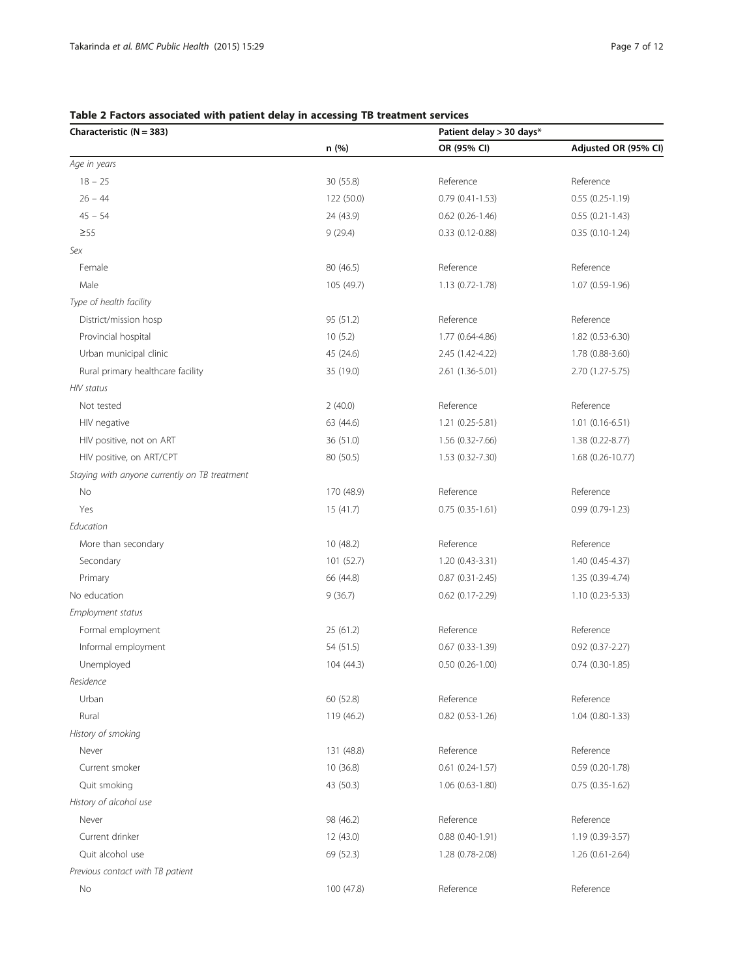# Characteristic (N = 383) Patient delay > 30 days\* n (%) OR (95% CI) Adjusted OR (95% CI) Age in years 18 – 25 30 (55.8) Reference Reference 26 – 44 122 (50.0) 0.79 (0.41-1.53) 0.55 (0.25-1.19) 45 – 54 24 (43.9) 0.62 (0.26-1.46) 0.55 (0.21-1.43) ≥55 9 (29.4) 0.33 (0.12-0.88) 0.35 (0.10-1.24) Sex Female 80 (46.5) Reference Reference Reference Reference Male 105 (49.7) 1.13 (0.72-1.78) 1.07 (0.59-1.96) Type of health facility District/mission hosp **12.2** Proposed a set of the 95 (51.2) Reference Reference Reference Provincial hospital 10 (5.2) 1.77 (0.64-4.86) 1.82 (0.53-6.30) Urban municipal clinic 45 (24.6) 2.45 (1.42-4.22) 1.78 (0.88-3.60) Rural primary healthcare facility 35 (19.0) 2.61 (1.36-5.01) 2.70 (1.27-5.75) HIV status Not tested 2 (40.0) Reference Reference Reference Reference HIV negative 63 (44.6) 1.21 (0.25-5.81) 1.01 (0.16-6.51) HIV positive, not on ART 36 (51.0) 1.56 (0.32-7.66) 1.38 (0.22-8.77) HIV positive, on ART/CPT 80 (50.5) 1.53 (0.32-7.30) 1.68 (0.26-10.77) Staying with anyone currently on TB treatment No 170 (48.9) Reference Reference Reference Reference Yes 15 (41.7) 0.75 (0.35-1.61) 0.99 (0.79-1.23) Education More than secondary and the secondary and the secondary control of the 10 (48.2) and Reference Reference Reference Secondary 1.20 (0.43-3.31) 1.20 (0.43-3.31) 1.20 (0.43-3.31) 1.40 (0.45-4.37) Primary 66 (44.8) 0.87 (0.31-2.45) 1.35 (0.39-4.74) No education 1.10 (0.23-5.33) 9 (36.7) 0.62 (0.17-2.29) 0.62 (0.17-2.29) Employment status Formal employment **1988** Computer 25 (61.2) Reference Reference Reference Informal employment 54 (51.5) 0.67 (0.33-1.39) 0.92 (0.37-2.27) Unemployed 104 (44.3) 0.50 (0.26-1.00) 0.74 (0.30-1.85) Residence Urban 60 (52.8) Reference Reference Rural 119 (46.2) 0.82 (0.53-1.26) 1.04 (0.80-1.33) History of smoking Never **131 (48.8)** Reference Reference Reference Current smoker 10 (36.8) 0.61 (0.24-1.57) 0.59 (0.20-1.78) Quit smoking 43 (50.3) 1.06 (0.63-1.80) 0.75 (0.35-1.62) History of alcohol use Never 98 (46.2) Reference Reference Current drinker 12 (43.0) 0.88 (0.40-1.91) 1.19 (0.39-3.57) Quit alcohol use 69 (52.3) 1.28 (0.78-2.08) 1.26 (0.61-2.64) Previous contact with TB patient No 100 (47.8) Reference Reference Reference Reference

# <span id="page-6-0"></span>Table 2 Factors associated with patient delay in accessing TB treatment services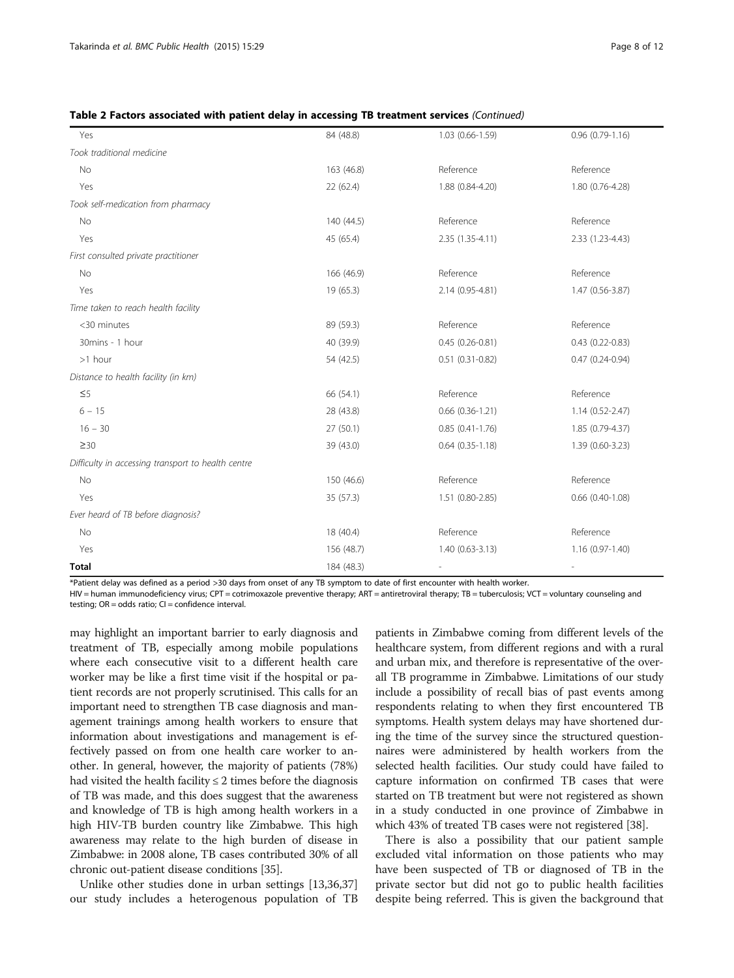| Yes                                                | 84 (48.8)  | 1.03 (0.66-1.59)     | $0.96$ $(0.79-1.16)$   |
|----------------------------------------------------|------------|----------------------|------------------------|
| Took traditional medicine                          |            |                      |                        |
| No                                                 | 163 (46.8) | Reference            | Reference              |
| Yes                                                | 22 (62.4)  | 1.88 (0.84-4.20)     | 1.80 (0.76-4.28)       |
| Took self-medication from pharmacy                 |            |                      |                        |
| <b>No</b>                                          | 140 (44.5) | Reference            | Reference              |
| Yes                                                | 45 (65.4)  | 2.35 (1.35-4.11)     | 2.33 (1.23-4.43)       |
| First consulted private practitioner               |            |                      |                        |
| No                                                 | 166 (46.9) | Reference            | Reference              |
| Yes                                                | 19 (65.3)  | 2.14 (0.95-4.81)     | 1.47 (0.56-3.87)       |
| Time taken to reach health facility                |            |                      |                        |
| <30 minutes                                        | 89 (59.3)  | Reference            | Reference              |
| 30mins - 1 hour                                    | 40 (39.9)  | $0.45(0.26 - 0.81)$  | $0.43$ $(0.22 - 0.83)$ |
| $>1$ hour                                          | 54 (42.5)  | $0.51(0.31 - 0.82)$  | $0.47(0.24 - 0.94)$    |
| Distance to health facility (in km)                |            |                      |                        |
| $\leq 5$                                           | 66 (54.1)  | Reference            | Reference              |
| $6 - 15$                                           | 28 (43.8)  | $0.66$ $(0.36-1.21)$ | $1.14(0.52 - 2.47)$    |
| $16 - 30$                                          | 27(50.1)   | $0.85(0.41-1.76)$    | 1.85 (0.79-4.37)       |
| $\geq 30$                                          | 39 (43.0)  | $0.64(0.35-1.18)$    | 1.39 (0.60-3.23)       |
| Difficulty in accessing transport to health centre |            |                      |                        |
| No                                                 | 150 (46.6) | Reference            | Reference              |
| Yes                                                | 35 (57.3)  | 1.51 (0.80-2.85)     | $0.66$ $(0.40-1.08)$   |
| Ever heard of TB before diagnosis?                 |            |                      |                        |
| No                                                 | 18 (40.4)  | Reference            | Reference              |
| Yes                                                | 156 (48.7) | $1.40(0.63 - 3.13)$  | 1.16 (0.97-1.40)       |
| <b>Total</b>                                       | 184 (48.3) | $\overline{a}$       |                        |
|                                                    |            |                      |                        |

\*Patient delay was defined as a period >30 days from onset of any TB symptom to date of first encounter with health worker.

HIV = human immunodeficiency virus; CPT = cotrimoxazole preventive therapy; ART = antiretroviral therapy; TB = tuberculosis; VCT = voluntary counseling and testing; OR = odds ratio; CI = confidence interval.

may highlight an important barrier to early diagnosis and treatment of TB, especially among mobile populations where each consecutive visit to a different health care worker may be like a first time visit if the hospital or patient records are not properly scrutinised. This calls for an important need to strengthen TB case diagnosis and management trainings among health workers to ensure that information about investigations and management is effectively passed on from one health care worker to another. In general, however, the majority of patients (78%) had visited the health facility  $\leq 2$  times before the diagnosis of TB was made, and this does suggest that the awareness and knowledge of TB is high among health workers in a high HIV-TB burden country like Zimbabwe. This high awareness may relate to the high burden of disease in Zimbabwe: in 2008 alone, TB cases contributed 30% of all chronic out-patient disease conditions [[35](#page-11-0)].

Unlike other studies done in urban settings [[13](#page-10-0),[36](#page-11-0),[37](#page-11-0)] our study includes a heterogenous population of TB

patients in Zimbabwe coming from different levels of the healthcare system, from different regions and with a rural and urban mix, and therefore is representative of the overall TB programme in Zimbabwe. Limitations of our study include a possibility of recall bias of past events among respondents relating to when they first encountered TB symptoms. Health system delays may have shortened during the time of the survey since the structured questionnaires were administered by health workers from the selected health facilities. Our study could have failed to capture information on confirmed TB cases that were started on TB treatment but were not registered as shown in a study conducted in one province of Zimbabwe in which 43% of treated TB cases were not registered [\[38](#page-11-0)].

There is also a possibility that our patient sample excluded vital information on those patients who may have been suspected of TB or diagnosed of TB in the private sector but did not go to public health facilities despite being referred. This is given the background that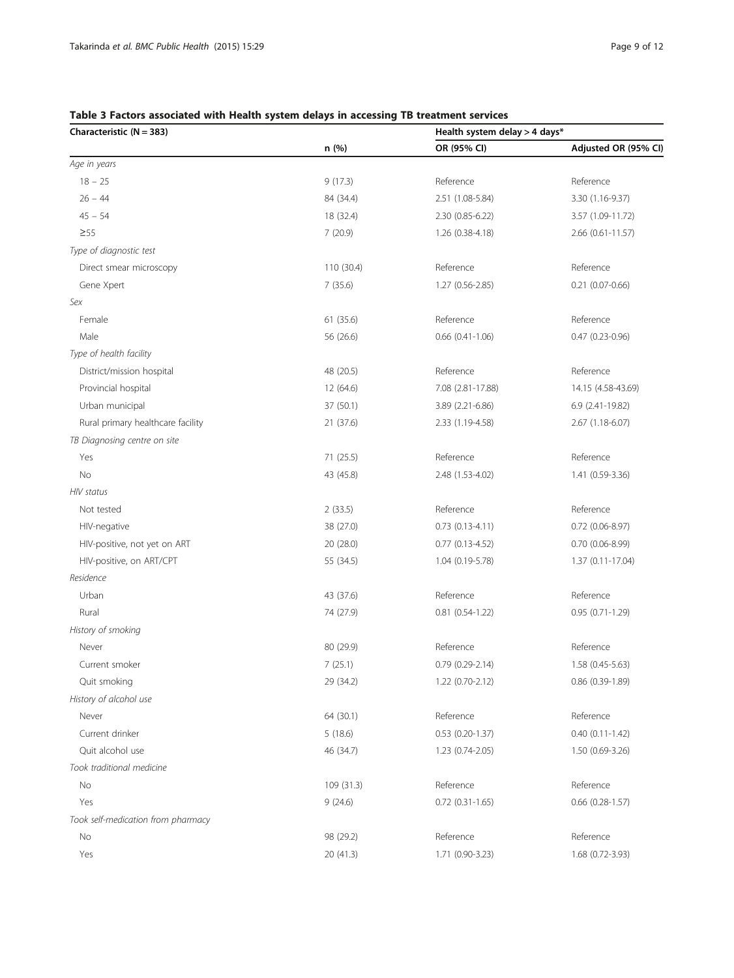# Characteristic (N = 383) The Characteristic (N = 383) Health system delay > 4 days\* n (%) OR (95% CI) Adjusted OR (95% CI) Age in years 18 – 25 Reference Reference Reference Reference Reference Reference 26 – 44 84 (34.4) 2.51 (1.08-5.84) 3.30 (1.16-9.37) 45 – 54 18 (32.4) 2.30 (0.85-6.22) 3.57 (1.09-11.72) ≥55 7 (20.9) 1.26 (0.38-4.18) 2.66 (0.61-11.57) Type of diagnostic test Direct smear microscopy and the control of the control of 110 (30.4) Reference Reference Reference Gene Xpert 7 (35.6) 1.27 (0.56-2.85) 0.21 (0.07-0.66) Sex Female 61 (35.6) Reference Reference Reference Reference Reference Male 56 (26.6) 0.66 (0.41-1.06) 0.47 (0.23-0.96) Type of health facility District/mission hospital and the control of the 48 (20.5) and Reference Reference Reference Provincial hospital 12 (64.6) 7.08 (2.81-17.88) 14.15 (4.58-43.69) Urban municipal 37 (50.1) 3.89 (2.21-6.86) 6.9 (2.41-19.82) Rural primary healthcare facility 21 (37.6) 2.33 (1.19-4.58) 2.67 (1.18-6.07) TB Diagnosing centre on site Yes 71 (25.5) Reference Reference No 43 (45.8) 2.48 (1.53-4.02) 1.41 (0.59-3.36) HIV status Not tested 2 (33.5) Reference Reference Reference HIV-negative 38 (27.0) 0.73 (0.13-4.11) 0.72 (0.06-8.97) HIV-positive, not yet on ART 20 (28.0) 0.77 (0.13-4.52) 0.70 (0.06-8.99) HIV-positive, on ART/CPT 55 (34.5) 1.04 (0.19-5.78) 1.37 (0.11-17.04) Residence Urban 43 (37.6) Reference Reference Rural 74 (27.9) 0.81 (0.54-1.22) 0.95 (0.71-1.29) History of smoking Never **80 (29.9)** Reference Reference Reference Reference Current smoker 7 (25.1) 0.79 (0.29-2.14) 1.58 (0.45-5.63) Quit smoking 29 (34.2) 1.22 (0.70-2.12) 0.86 (0.39-1.89) History of alcohol use Never 64 (30.1) Reference Reference Current drinker 5 (18.6) 0.53 (0.20-1.37) 0.40 (0.11-1.42) Quit alcohol use 46 (34.7) 1.23 (0.74-2.05) 1.50 (0.69-3.26) Took traditional medicine No 109 (31.3) Reference Reference Reference Yes 9 (24.6) 0.72 (0.31-1.65) 0.66 (0.28-1.57) Took self-medication from pharmacy No 298 (29.2) Reference Reference Reference Reference Yes 20 (41.3) 1.71 (0.90-3.23) 1.68 (0.72-3.93)

# <span id="page-8-0"></span>Table 3 Factors associated with Health system delays in accessing TB treatment services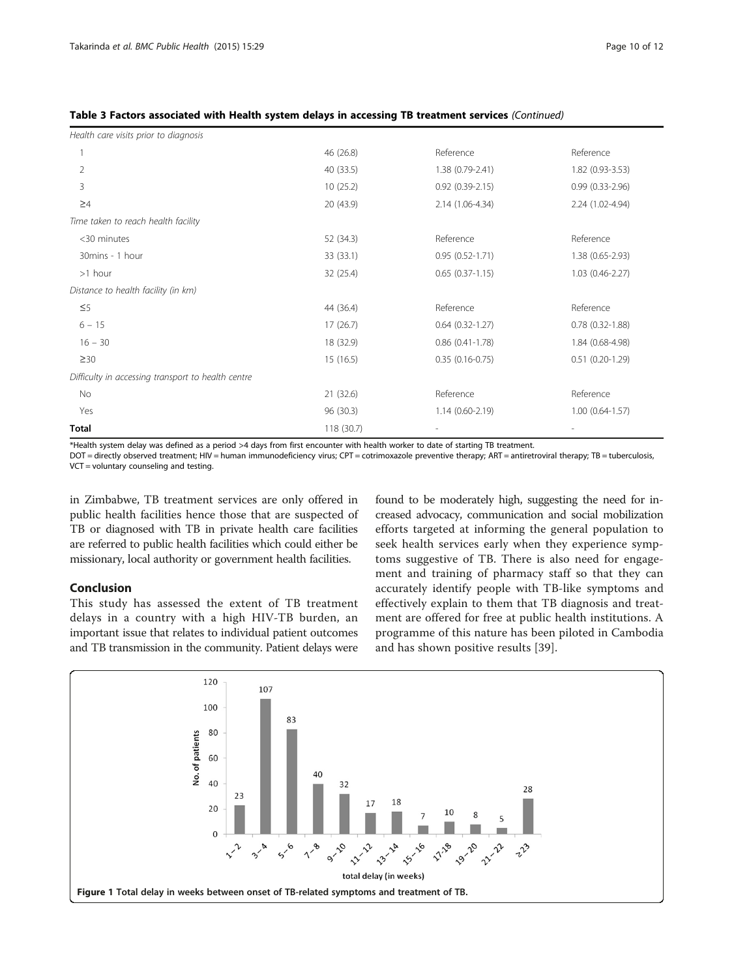| Health care visits prior to diagnosis              |           |                        |                        |
|----------------------------------------------------|-----------|------------------------|------------------------|
|                                                    | 46 (26.8) | Reference              | Reference              |
| $\overline{2}$                                     | 40 (33.5) | 1.38 (0.79-2.41)       | 1.82 (0.93-3.53)       |
| 3                                                  | 10(25.2)  | $0.92(0.39-2.15)$      | $0.99(0.33 - 2.96)$    |
| $\geq 4$                                           | 20 (43.9) | 2.14 (1.06-4.34)       | 2.24 (1.02-4.94)       |
| Time taken to reach health facility                |           |                        |                        |
| <30 minutes                                        | 52 (34.3) | Reference              | Reference              |
| 30mins - 1 hour                                    | 33 (33.1) | $0.95(0.52-1.71)$      | 1.38 (0.65-2.93)       |
| $>1$ hour                                          | 32 (25.4) | $0.65(0.37-1.15)$      | 1.03 (0.46-2.27)       |
| Distance to health facility (in km)                |           |                        |                        |
| $\leq$ 5                                           | 44 (36.4) | Reference              | Reference              |
| $6 - 15$                                           | 17(26.7)  | $0.64(0.32-1.27)$      | $0.78$ $(0.32 - 1.88)$ |
| $16 - 30$                                          | 18 (32.9) | $0.86$ $(0.41 - 1.78)$ | 1.84 (0.68-4.98)       |
| $\geq$ 30                                          | 15(16.5)  | $0.35(0.16-0.75)$      | $0.51$ $(0.20-1.29)$   |
| Difficulty in accessing transport to health centre |           |                        |                        |
| No                                                 | 21(32.6)  | Reference              | Reference              |
| Yes                                                | 96 (30.3) | $1.14(0.60-2.19)$      | $1.00(0.64-1.57)$      |
| Total                                              | 118(30.7) |                        |                        |

#### <span id="page-9-0"></span>Table 3 Factors associated with Health system delays in accessing TB treatment services (Continued)

\*Health system delay was defined as a period >4 days from first encounter with health worker to date of starting TB treatment.

DOT = directly observed treatment; HIV = human immunodeficiency virus; CPT = cotrimoxazole preventive therapy; ART = antiretroviral therapy; TB = tuberculosis, VCT = voluntary counseling and testing.

in Zimbabwe, TB treatment services are only offered in public health facilities hence those that are suspected of TB or diagnosed with TB in private health care facilities are referred to public health facilities which could either be missionary, local authority or government health facilities.

# Conclusion

This study has assessed the extent of TB treatment delays in a country with a high HIV-TB burden, an important issue that relates to individual patient outcomes and TB transmission in the community. Patient delays were

found to be moderately high, suggesting the need for increased advocacy, communication and social mobilization efforts targeted at informing the general population to seek health services early when they experience symptoms suggestive of TB. There is also need for engagement and training of pharmacy staff so that they can accurately identify people with TB-like symptoms and effectively explain to them that TB diagnosis and treatment are offered for free at public health institutions. A programme of this nature has been piloted in Cambodia and has shown positive results [[39](#page-11-0)].

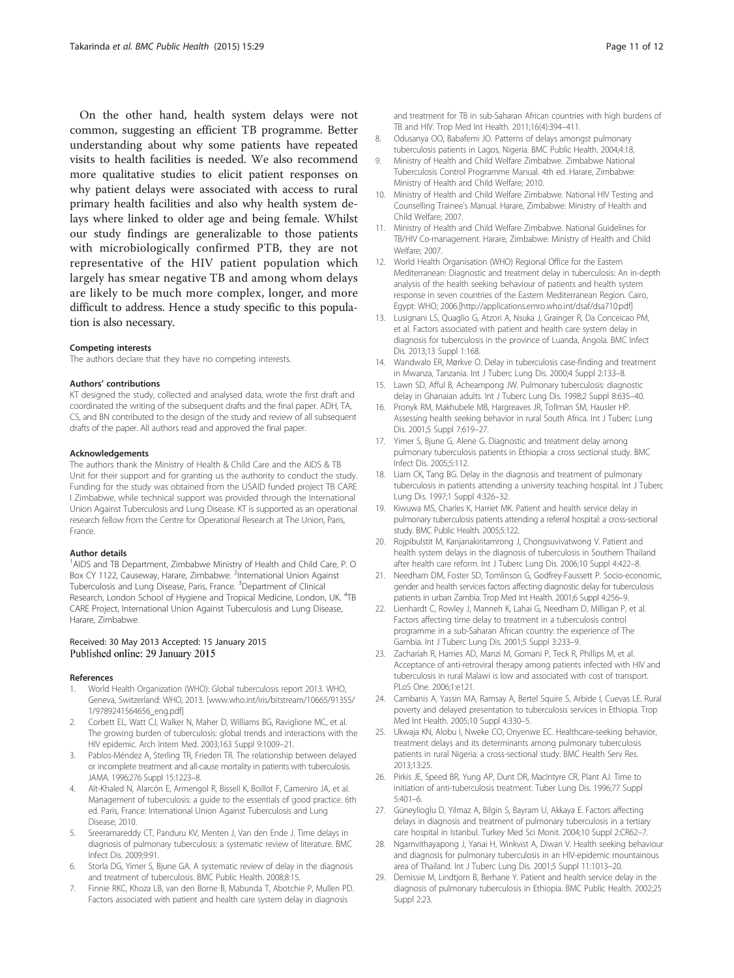<span id="page-10-0"></span>On the other hand, health system delays were not common, suggesting an efficient TB programme. Better understanding about why some patients have repeated visits to health facilities is needed. We also recommend more qualitative studies to elicit patient responses on why patient delays were associated with access to rural primary health facilities and also why health system delays where linked to older age and being female. Whilst our study findings are generalizable to those patients with microbiologically confirmed PTB, they are not representative of the HIV patient population which largely has smear negative TB and among whom delays are likely to be much more complex, longer, and more difficult to address. Hence a study specific to this population is also necessary.

#### Competing interests

The authors declare that they have no competing interests.

#### Authors' contributions

KT designed the study, collected and analysed data, wrote the first draft and coordinated the writing of the subsequent drafts and the final paper. ADH, TA, CS, and BN contributed to the design of the study and review of all subsequent drafts of the paper. All authors read and approved the final paper.

#### Acknowledgements

The authors thank the Ministry of Health & Child Care and the AIDS & TB Unit for their support and for granting us the authority to conduct the study. Funding for the study was obtained from the USAID funded project TB CARE I Zimbabwe, while technical support was provided through the International Union Against Tuberculosis and Lung Disease. KT is supported as an operational research fellow from the Centre for Operational Research at The Union, Paris, France.

#### Author details

<sup>1</sup>AIDS and TB Department, Zimbabwe Ministry of Health and Child Care, P. O Box CY 1122, Causeway, Harare, Zimbabwe. <sup>2</sup>International Union Against Tuberculosis and Lung Disease, Paris, France. <sup>3</sup>Department of Clinical Research, London School of Hygiene and Tropical Medicine, London, UK. <sup>4</sup>TB CARE Project, International Union Against Tuberculosis and Lung Disease, Harare, Zimbabwe.

#### Received: 30 May 2013 Accepted: 15 January 2015 Published online: 29 January 2015

#### References

- 1. World Health Organization (WHO): Global tuberculosis report 2013. WHO, Geneva, Switzerland: WHO, 2013. [[www.who.int/iris/bitstream/10665/91355/](http://www.who.int/iris/bitstream/10665/91355/1/9789241564656_eng.pdf) [1/9789241564656\\_eng.pdf](http://www.who.int/iris/bitstream/10665/91355/1/9789241564656_eng.pdf)]
- 2. Corbett EL, Watt CJ, Walker N, Maher D, Williams BG, Raviglione MC, et al. The growing burden of tuberculosis: global trends and interactions with the HIV epidemic. Arch Intern Med. 2003;163 Suppl 9:1009–21.
- Pablos-Méndez A, Sterling TR, Frieden TR. The relationship between delayed or incomplete treatment and all-cause mortality in patients with tuberculosis. JAMA. 1996;276 Suppl 15:1223–8.
- Aït-Khaled N, Alarcón E, Armengol R, Bissell K, Boillot F, Cameniro JA, et al. Management of tuberculosis: a guide to the essentials of good practice. 6th ed. Paris, France: International Union Against Tuberculosis and Lung Disease; 2010.
- 5. Sreeramareddy CT, Panduru KV, Menten J, Van den Ende J. Time delays in diagnosis of pulmonary tuberculosis: a systematic review of literature. BMC Infect Dis. 2009;9:91.
- Storla DG, Yimer S, Bjune GA. A systematic review of delay in the diagnosis and treatment of tuberculosis. BMC Public Health. 2008;8:15.
- 7. Finnie RKC, Khoza LB, van den Borne B, Mabunda T, Abotchie P, Mullen PD. Factors associated with patient and health care system delay in diagnosis

and treatment for TB in sub-Saharan African countries with high burdens of TB and HIV. Trop Med Int Health. 2011;16(4):394–411.

- 8. Odusanya OO, Babafemi JO. Patterns of delays amongst pulmonary tuberculosis patients in Lagos, Nigeria. BMC Public Health. 2004;4:18.
- 9. Ministry of Health and Child Welfare Zimbabwe. Zimbabwe National Tuberculosis Control Programme Manual. 4th ed. Harare, Zimbabwe: Ministry of Health and Child Welfare; 2010.
- 10. Ministry of Health and Child Welfare Zimbabwe. National HIV Testing and Counselling Trainee's Manual. Harare, Zimbabwe: Ministry of Health and Child Welfare; 2007.
- 11. Ministry of Health and Child Welfare Zimbabwe. National Guidelines for TB/HIV Co-management. Harare, Zimbabwe: Ministry of Health and Child Welfare; 2007.
- 12. World Health Organisation (WHO) Regional Office for the Eastern Mediterranean: Diagnostic and treatment delay in tuberculosis: An in-depth analysis of the health seeking behaviour of patients and health system response in seven countries of the Eastern Mediterranean Region. Cairo, Egypt: WHO; 2006.[\[http://applications.emro.who.int/dsaf/dsa710.pdf\]](http://applications.emro.who.int/dsaf/dsa710.pdf)
- 13. Lusignani LS, Quaglio G, Atzori A, Nsuka J, Grainger R, Da Conceicao PM, et al. Factors associated with patient and health care system delay in diagnosis for tuberculosis in the province of Luanda, Angola. BMC Infect Dis. 2013;13 Suppl 1:168.
- 14. Wandwalo ER, Mørkve O. Delay in tuberculosis case-finding and treatment in Mwanza, Tanzania. Int J Tuberc Lung Dis. 2000;4 Suppl 2:133–8.
- 15. Lawn SD, Afful B, Acheampong JW. Pulmonary tuberculosis: diagnostic delay in Ghanaian adults. Int J Tuberc Lung Dis. 1998;2 Suppl 8:635–40.
- 16. Pronyk RM, Makhubele MB, Hargreaves JR, Tollman SM, Hausler HP. Assessing health seeking behavior in rural South Africa. Int J Tuberc Lung Dis. 2001;5 Suppl 7:619–27.
- 17. Yimer S, Bjune G, Alene G. Diagnostic and treatment delay among pulmonary tuberculosis patients in Ethiopia: a cross sectional study. BMC Infect Dis. 2005;5:112.
- 18. Liam CK, Tang BG. Delay in the diagnosis and treatment of pulmonary tuberculosis in patients attending a university teaching hospital. Int J Tuberc Lung Dis. 1997;1 Suppl 4:326–32.
- 19. Kiwuwa MS, Charles K, Harriet MK. Patient and health service delay in pulmonary tuberculosis patients attending a referral hospital: a cross-sectional study. BMC Public Health. 2005;5:122.
- 20. Rojpibulstit M, Kanjanakiritamrong J, Chongsuvivatwong V. Patient and health system delays in the diagnosis of tuberculosis in Southern Thailand after health care reform. Int J Tuberc Lung Dis. 2006;10 Suppl 4:422–8.
- 21. Needham DM, Foster SD, Tomlinson G, Godfrey-Faussett P. Socio-economic, gender and health services factors affecting diagnostic delay for tuberculosis patients in urban Zambia. Trop Med Int Health. 2001;6 Suppl 4:256–9.
- 22. Lienhardt C, Rowley J, Manneh K, Lahai G, Needham D, Milligan P, et al. Factors affecting time delay to treatment in a tuberculosis control programme in a sub-Saharan African country: the experience of The Gambia. Int J Tuberc Lung Dis. 2001;5 Suppl 3:233–9.
- 23. Zachariah R, Harries AD, Manzi M, Gomani P, Teck R, Phillips M, et al. Acceptance of anti-retroviral therapy among patients infected with HIV and tuberculosis in rural Malawi is low and associated with cost of transport. PLoS One. 2006;1:e121.
- 24. Cambanis A, Yassin MA, Ramsay A, Bertel Squire S, Arbide I, Cuevas LE. Rural poverty and delayed presentation to tuberculosis services in Ethiopia. Trop Med Int Health. 2005;10 Suppl 4:330–5.
- 25. Ukwaja KN, Alobu I, Nweke CO, Onyenwe EC. Healthcare-seeking behavior, treatment delays and its determinants among pulmonary tuberculosis patients in rural Nigeria: a cross-sectional study. BMC Health Serv Res. 2013;13:25.
- 26. Pirkis JE, Speed BR, Yung AP, Dunt DR, MacIntyre CR, Plant AJ. Time to initiation of anti-tuberculosis treatment. Tuber Lung Dis. 1996;77 Suppl 5:401–6.
- 27. Güneylioglu D, Yilmaz A, Bilgin S, Bayram U, Akkaya E. Factors affecting delays in diagnosis and treatment of pulmonary tuberculosis in a tertiary care hospital in Istanbul. Turkey Med Sci Monit. 2004;10 Suppl 2:CR62–7.
- 28. Ngamvithayapong J, Yanai H, Winkvist A, Diwan V. Health seeking behaviour and diagnosis for pulmonary tuberculosis in an HIV-epidemic mountainous area of Thailand. Int J Tuberc Lung Dis. 2001;5 Suppl 11:1013–20.
- 29. Demissie M, Lindtjorn B, Berhane Y. Patient and health service delay in the diagnosis of pulmonary tuberculosis in Ethiopia. BMC Public Health. 2002;25 Suppl 2:23.